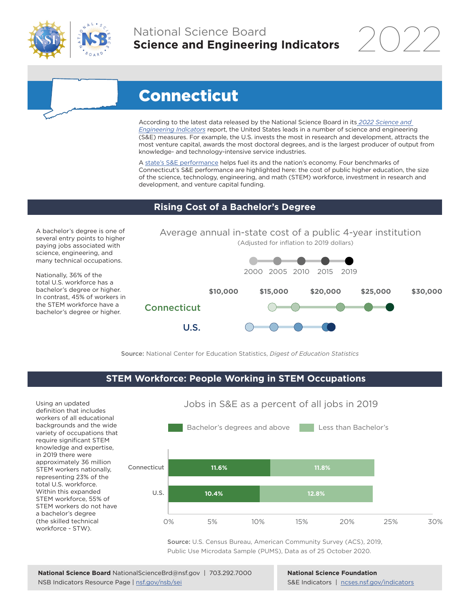

# National Science Board **Science and Engineering Indicators**

2022

# Connecticut

According to the latest data released by the National Science Board in its *[2022 Science and](https://www.ncses.nsf.gov/indicators)  [Engineering Indicators](https://www.ncses.nsf.gov/indicators)* report, the United States leads in a number of science and engineering (S&E) measures. For example, the U.S. invests the most in research and development, attracts the most venture capital, awards the most doctoral degrees, and is the largest producer of output from knowledge- and technology-intensive service industries.

A state's S&E performance helps fuel its and the nation's economy. Four benchmarks of Connecticut's S&E performance are highlighted here: the cost of public higher education, the size of the science, technology, engineering, and math (STEM) workforce, investment in research and development, and venture capital funding.

### **Rising Cost of a Bachelor's Degree**

A bachelor's degree is one of several entry points to higher paying jobs associated with science, engineering, and many technical occupations.

Nationally, 36% of the total U.S. workforce has a bachelor's degree or higher. In contrast, 45% of workers in the STEM workforce have a bachelor's degree or higher.



Source: National Center for Education Statistics, *Digest of Education Statistics*

#### **STEM Workforce: People Working in STEM Occupations**

Using an updated definition that includes workers of all educational backgrounds and the wide variety of occupations that require significant STEM knowledge and expertise, in 2019 there were approximately 36 million STEM workers nationally, representing 23% of the total U.S. workforce. Within this expanded STEM workforce, 55% of STEM workers do not have a bachelor's degree (the skilled technical workforce - STW).



Source: U.S. Census Bureau, American Community Survey (ACS), 2019, Public Use Microdata Sample (PUMS), Data as of 25 October 2020.

**National Science Foundation** S&E Indicators | [ncses.nsf.gov/indicators](https://www.ncses.nsf.gov/indicators)

## Jobs in S&E as a percent of all jobs in 2019